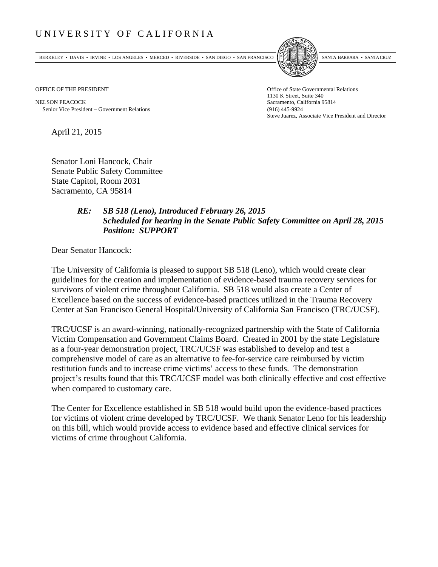## UNIVERSITY OF CALIFORNIA

BERKELEY • DAVIS • IRVINE • LOS ANGELES • MERCED • RIVERSIDE • SAN DIEGO • SAN FRANCISCO SANTA BARBARA • SANTA CRUZ



NELSON PEACOCK Sacramento, California 95814 Senior Vice President Government Relations (916) 445-9924

OFFICE OF THE PRESIDENT STATES OF THE PRESIDENT 1130 K Street, Suite 340 Steve Juarez, Associate Vice President and Director

April 21, 2015

Senator Loni Hancock, Chair Senate Public Safety Committee State Capitol, Room 2031 Sacramento, CA 95814

## *RE: SB 518 (Leno), Introduced February 26, 2015 Scheduled for hearing in the Senate Public Safety Committee on April 28, 2015 Position: SUPPORT*

Dear Senator Hancock:

The University of California is pleased to support SB 518 (Leno), which would create clear guidelines for the creation and implementation of evidence-based trauma recovery services for survivors of violent crime throughout California. SB 518 would also create a Center of Excellence based on the success of evidence-based practices utilized in the Trauma Recovery Center at San Francisco General Hospital/University of California San Francisco (TRC/UCSF).

TRC/UCSF is an award-winning, nationally-recognized partnership with the State of California Victim Compensation and Government Claims Board. Created in 2001 by the state Legislature as a four-year demonstration project, TRC/UCSF was established to develop and test a comprehensive model of care as an alternative to fee-for-service care reimbursed by victim restitution funds and to increase crime victims' access to these funds. The demonstration project's results found that this TRC/UCSF model was both clinically effective and cost effective when compared to customary care.

The Center for Excellence established in SB 518 would build upon the evidence-based practices for victims of violent crime developed by TRC/UCSF. We thank Senator Leno for his leadership on this bill, which would provide access to evidence based and effective clinical services for victims of crime throughout California.